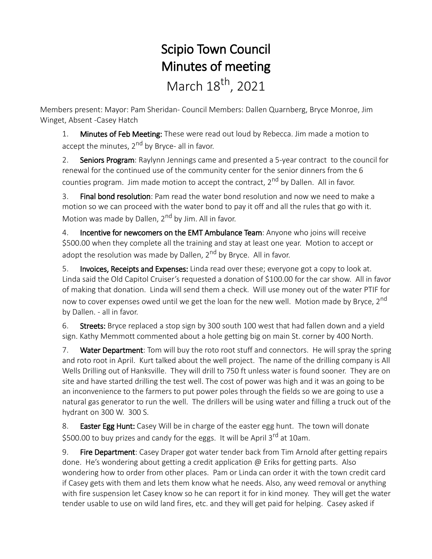## Scipio Town Council Minutes of meeting March 18<sup>th</sup>, 2021

Members present: Mayor: Pam Sheridan- Council Members: Dallen Quarnberg, Bryce Monroe, Jim Winget, Absent -Casey Hatch

1. Minutes of Feb Meeting: These were read out loud by Rebecca. Jim made a motion to accept the minutes, 2<sup>nd</sup> by Bryce- all in favor.

2. Seniors Program: Raylynn Jennings came and presented a 5-year contract to the council for renewal for the continued use of the community center for the senior dinners from the 6 counties program. Jim made motion to accept the contract, 2<sup>nd</sup> by Dallen. All in favor.

3. Final bond resolution: Pam read the water bond resolution and now we need to make a motion so we can proceed with the water bond to pay it off and all the rules that go with it. Motion was made by Dallen, 2<sup>nd</sup> by Jim. All in favor.

4. Incentive for newcomers on the EMT Ambulance Team: Anyone who joins will receive \$500.00 when they complete all the training and stay at least one year. Motion to accept or adopt the resolution was made by Dallen,  $2<sup>nd</sup>$  by Bryce. All in favor.

5. Invoices, Receipts and Expenses: Linda read over these; everyone got a copy to look at. Linda said the Old Capitol Cruiser's requested a donation of \$100.00 for the car show. All in favor of making that donation. Linda will send them a check. Will use money out of the water PTIF for now to cover expenses owed until we get the loan for the new well. Motion made by Bryce, 2<sup>nd</sup> by Dallen. - all in favor.

6. Streets: Bryce replaced a stop sign by 300 south 100 west that had fallen down and a yield sign. Kathy Memmott commented about a hole getting big on main St. corner by 400 North.

7. Water Department: Tom will buy the roto root stuff and connectors. He will spray the spring and roto root in April. Kurt talked about the well project. The name of the drilling company is All Wells Drilling out of Hanksville. They will drill to 750 ft unless water is found sooner. They are on site and have started drilling the test well. The cost of power was high and it was an going to be an inconvenience to the farmers to put power poles through the fields so we are going to use a natural gas generator to run the well. The drillers will be using water and filling a truck out of the hydrant on 300 W. 300 S.

8. Easter Egg Hunt: Casey Will be in charge of the easter egg hunt. The town will donate \$500.00 to buy prizes and candy for the eggs. It will be April 3<sup>rd</sup> at 10am.

9. Fire Department: Casey Draper got water tender back from Tim Arnold after getting repairs done. He's wondering about getting a credit application @ Eriks for getting parts. Also wondering how to order from other places. Pam or Linda can order it with the town credit card if Casey gets with them and lets them know what he needs. Also, any weed removal or anything with fire suspension let Casey know so he can report it for in kind money. They will get the water tender usable to use on wild land fires, etc. and they will get paid for helping. Casey asked if